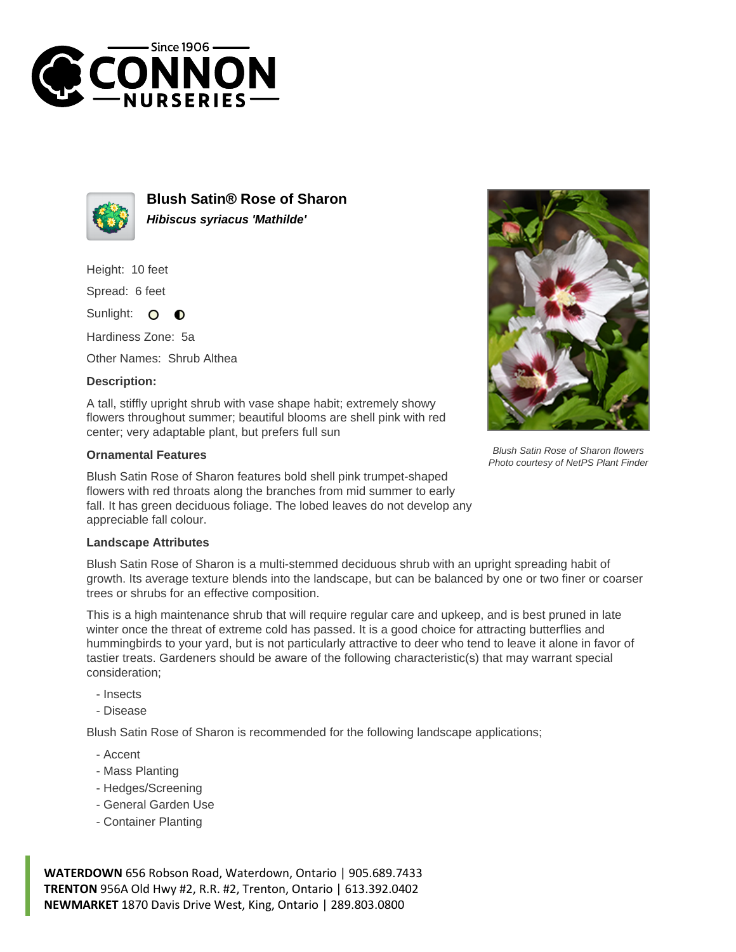



**Blush Satin® Rose of Sharon Hibiscus syriacus 'Mathilde'**

Height: 10 feet

Spread: 6 feet

Sunlight: O  $\bullet$ 

Hardiness Zone: 5a

Other Names: Shrub Althea

## **Description:**

A tall, stiffly upright shrub with vase shape habit; extremely showy flowers throughout summer; beautiful blooms are shell pink with red center; very adaptable plant, but prefers full sun

## **Ornamental Features**

Blush Satin Rose of Sharon features bold shell pink trumpet-shaped flowers with red throats along the branches from mid summer to early fall. It has green deciduous foliage. The lobed leaves do not develop any appreciable fall colour.

## **Landscape Attributes**

Blush Satin Rose of Sharon is a multi-stemmed deciduous shrub with an upright spreading habit of growth. Its average texture blends into the landscape, but can be balanced by one or two finer or coarser trees or shrubs for an effective composition.

This is a high maintenance shrub that will require regular care and upkeep, and is best pruned in late winter once the threat of extreme cold has passed. It is a good choice for attracting butterflies and hummingbirds to your yard, but is not particularly attractive to deer who tend to leave it alone in favor of tastier treats. Gardeners should be aware of the following characteristic(s) that may warrant special consideration;

- Insects

- Disease

Blush Satin Rose of Sharon is recommended for the following landscape applications;

- Accent
- Mass Planting
- Hedges/Screening
- General Garden Use
- Container Planting

**WATERDOWN** 656 Robson Road, Waterdown, Ontario | 905.689.7433 **TRENTON** 956A Old Hwy #2, R.R. #2, Trenton, Ontario | 613.392.0402 **NEWMARKET** 1870 Davis Drive West, King, Ontario | 289.803.0800



Blush Satin Rose of Sharon flowers Photo courtesy of NetPS Plant Finder